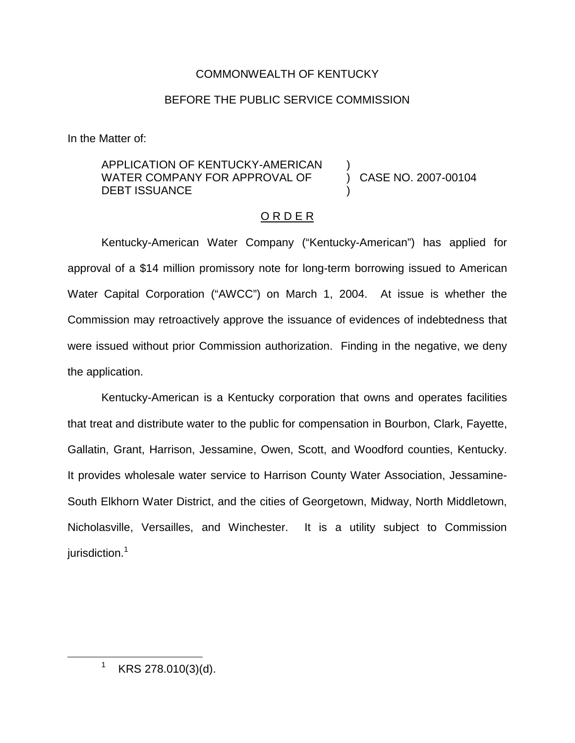## COMMONWEALTH OF KENTUCKY

## BEFORE THE PUBLIC SERVICE COMMISSION

In the Matter of:

## APPLICATION OF KENTUCKY-AMERICAN WATER COMPANY FOR APPROVAL OF DEBT ISSUANCE

) CASE NO. 2007-00104

## O R D E R

)

)

Kentucky-American Water Company ("Kentucky-American") has applied for approval of a \$14 million promissory note for long-term borrowing issued to American Water Capital Corporation ("AWCC") on March 1, 2004. At issue is whether the Commission may retroactively approve the issuance of evidences of indebtedness that were issued without prior Commission authorization. Finding in the negative, we deny the application.

Kentucky-American is a Kentucky corporation that owns and operates facilities that treat and distribute water to the public for compensation in Bourbon, Clark, Fayette, Gallatin, Grant, Harrison, Jessamine, Owen, Scott, and Woodford counties, Kentucky. It provides wholesale water service to Harrison County Water Association, Jessamine-South Elkhorn Water District, and the cities of Georgetown, Midway, North Middletown, Nicholasville, Versailles, and Winchester. It is a utility subject to Commission jurisdiction.<sup>1</sup>

 $1$  KRS 278.010(3)(d).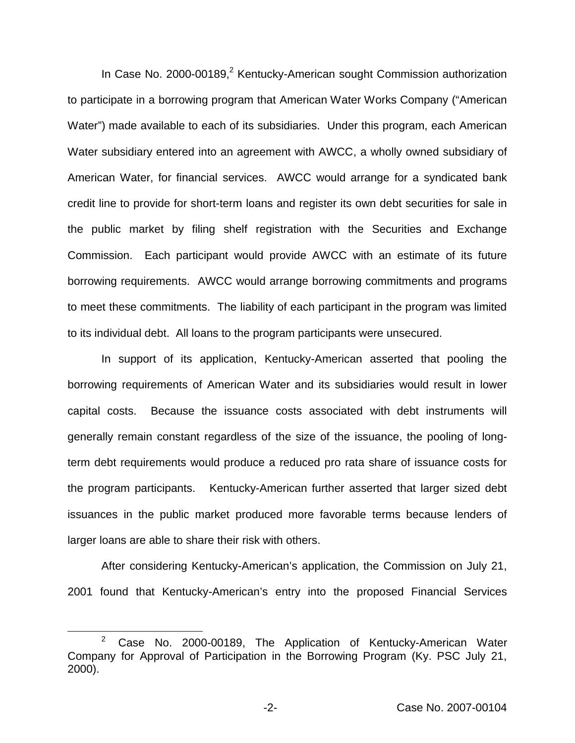In Case No. 2000-00189, $2$  Kentucky-American sought Commission authorization to participate in a borrowing program that American Water Works Company ("American Water") made available to each of its subsidiaries. Under this program, each American Water subsidiary entered into an agreement with AWCC, a wholly owned subsidiary of American Water, for financial services. AWCC would arrange for a syndicated bank credit line to provide for short-term loans and register its own debt securities for sale in the public market by filing shelf registration with the Securities and Exchange Commission. Each participant would provide AWCC with an estimate of its future borrowing requirements. AWCC would arrange borrowing commitments and programs to meet these commitments. The liability of each participant in the program was limited to its individual debt. All loans to the program participants were unsecured.

In support of its application, Kentucky-American asserted that pooling the borrowing requirements of American Water and its subsidiaries would result in lower capital costs. Because the issuance costs associated with debt instruments will generally remain constant regardless of the size of the issuance, the pooling of longterm debt requirements would produce a reduced pro rata share of issuance costs for the program participants. Kentucky-American further asserted that larger sized debt issuances in the public market produced more favorable terms because lenders of larger loans are able to share their risk with others.

After considering Kentucky-American's application, the Commission on July 21, 2001 found that Kentucky-American's entry into the proposed Financial Services

 $2^2$  Case No. 2000-00189, The Application of Kentucky-American Water Company for Approval of Participation in the Borrowing Program (Ky. PSC July 21, 2000).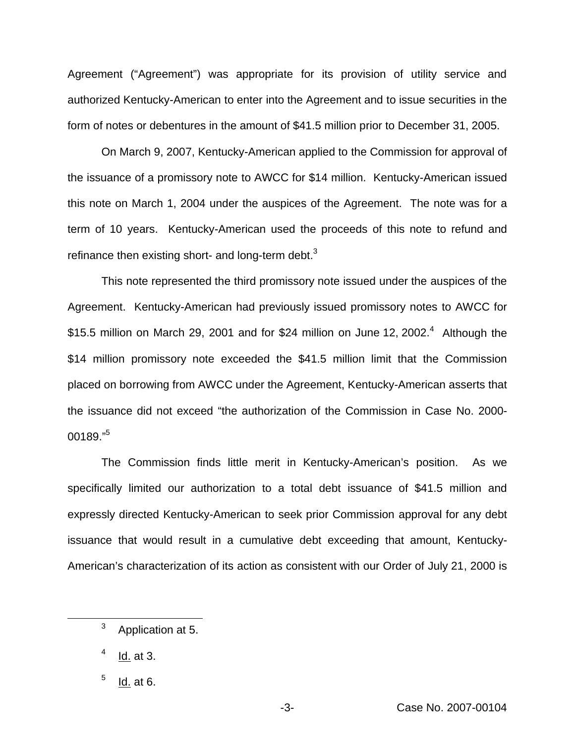Agreement ("Agreement") was appropriate for its provision of utility service and authorized Kentucky-American to enter into the Agreement and to issue securities in the form of notes or debentures in the amount of \$41.5 million prior to December 31, 2005.

On March 9, 2007, Kentucky-American applied to the Commission for approval of the issuance of a promissory note to AWCC for \$14 million. Kentucky-American issued this note on March 1, 2004 under the auspices of the Agreement. The note was for a term of 10 years. Kentucky-American used the proceeds of this note to refund and refinance then existing short- and long-term debt. $3$ 

This note represented the third promissory note issued under the auspices of the Agreement. Kentucky-American had previously issued promissory notes to AWCC for \$15.5 million on March 29, 2001 and for \$24 million on June 12, 2002.<sup>4</sup> Although the \$14 million promissory note exceeded the \$41.5 million limit that the Commission placed on borrowing from AWCC under the Agreement, Kentucky-American asserts that the issuance did not exceed "the authorization of the Commission in Case No. 2000-  $00189."$ <sup>5</sup>

The Commission finds little merit in Kentucky-American's position. As we specifically limited our authorization to a total debt issuance of \$41.5 million and expressly directed Kentucky-American to seek prior Commission approval for any debt issuance that would result in a cumulative debt exceeding that amount, Kentucky-American's characterization of its action as consistent with our Order of July 21, 2000 is

<sup>&</sup>lt;sup>3</sup> Application at 5.

 $4$  Id. at 3.

 $<sup>5</sup>$  Id. at 6.</sup>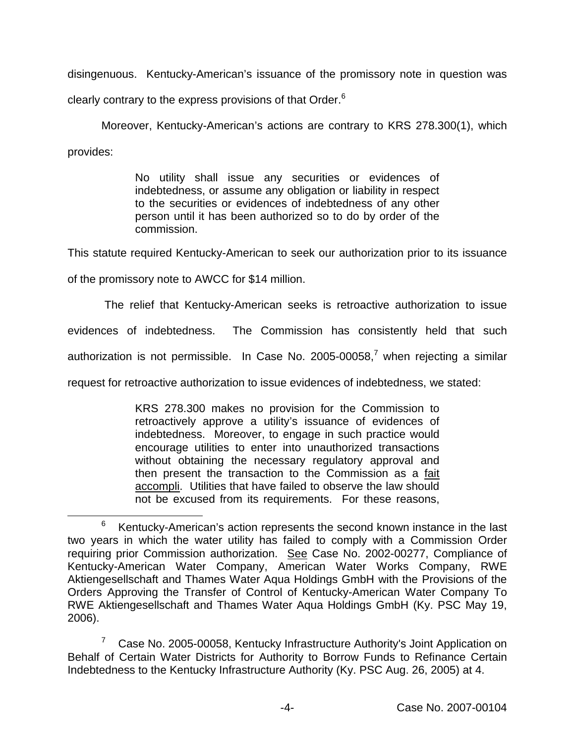disingenuous. Kentucky-American's issuance of the promissory note in question was

clearly contrary to the express provisions of that Order.<sup>6</sup>

Moreover, Kentucky-American's actions are contrary to KRS 278.300(1), which provides:

> No utility shall issue any securities or evidences of indebtedness, or assume any obligation or liability in respect to the securities or evidences of indebtedness of any other person until it has been authorized so to do by order of the commission.

This statute required Kentucky-American to seek our authorization prior to its issuance

of the promissory note to AWCC for \$14 million.

The relief that Kentucky-American seeks is retroactive authorization to issue

evidences of indebtedness. The Commission has consistently held that such

authorization is not permissible. In Case No. 2005-00058, $^7$  when rejecting a similar

request for retroactive authorization to issue evidences of indebtedness, we stated:

KRS 278.300 makes no provision for the Commission to retroactively approve a utility's issuance of evidences of indebtedness. Moreover, to engage in such practice would encourage utilities to enter into unauthorized transactions without obtaining the necessary regulatory approval and then present the transaction to the Commission as a fait accompli. Utilities that have failed to observe the law should not be excused from its requirements. For these reasons,

<sup>7</sup> Case No. 2005-00058, Kentucky Infrastructure Authority's Joint Application on Behalf of Certain Water Districts for Authority to Borrow Funds to Refinance Certain Indebtedness to the Kentucky Infrastructure Authority (Ky. PSC Aug. 26, 2005) at 4.

 $6$  Kentucky-American's action represents the second known instance in the last two years in which the water utility has failed to comply with a Commission Order requiring prior Commission authorization. See Case No. 2002-00277, Compliance of Kentucky-American Water Company, American Water Works Company, RWE Aktiengesellschaft and Thames Water Aqua Holdings GmbH with the Provisions of the Orders Approving the Transfer of Control of Kentucky-American Water Company To RWE Aktiengesellschaft and Thames Water Aqua Holdings GmbH (Ky. PSC May 19, 2006).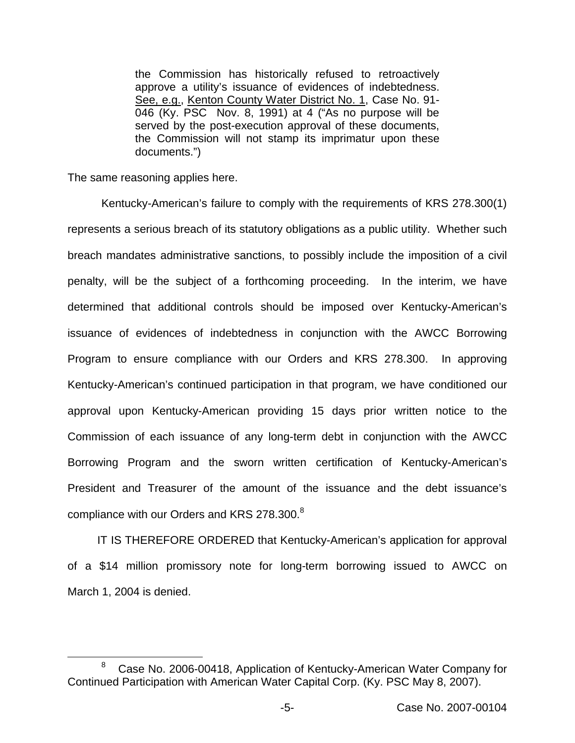the Commission has historically refused to retroactively approve a utility's issuance of evidences of indebtedness. See, e.g., Kenton County Water District No. 1, Case No. 91- 046 (Ky. PSC Nov. 8, 1991) at 4 ("As no purpose will be served by the post-execution approval of these documents, the Commission will not stamp its imprimatur upon these documents.")

The same reasoning applies here.

Kentucky-American's failure to comply with the requirements of KRS 278.300(1) represents a serious breach of its statutory obligations as a public utility. Whether such breach mandates administrative sanctions, to possibly include the imposition of a civil penalty, will be the subject of a forthcoming proceeding. In the interim, we have determined that additional controls should be imposed over Kentucky-American's issuance of evidences of indebtedness in conjunction with the AWCC Borrowing Program to ensure compliance with our Orders and KRS 278.300. In approving Kentucky-American's continued participation in that program, we have conditioned our approval upon Kentucky-American providing 15 days prior written notice to the Commission of each issuance of any long-term debt in conjunction with the AWCC Borrowing Program and the sworn written certification of Kentucky-American's President and Treasurer of the amount of the issuance and the debt issuance's compliance with our Orders and KRS 278.300.<sup>8</sup>

IT IS THEREFORE ORDERED that Kentucky-American's application for approval of a \$14 million promissory note for long-term borrowing issued to AWCC on March 1, 2004 is denied.

<sup>&</sup>lt;sup>8</sup> Case No. 2006-00418, Application of Kentucky-American Water Company for Continued Participation with American Water Capital Corp. (Ky. PSC May 8, 2007).